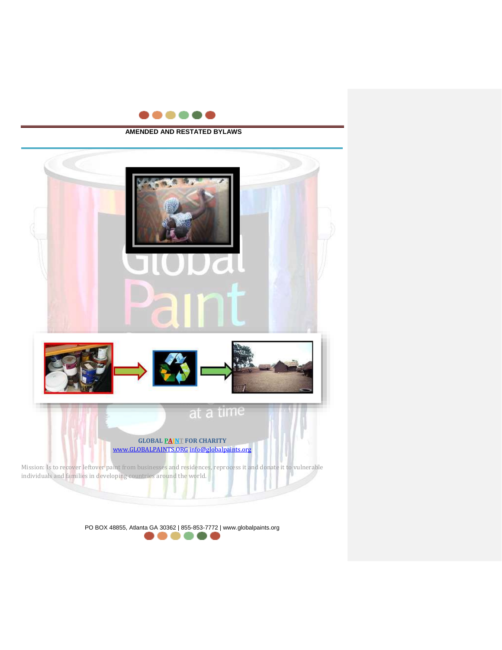

### **AMENDED AND RESTATED BYLAWS**

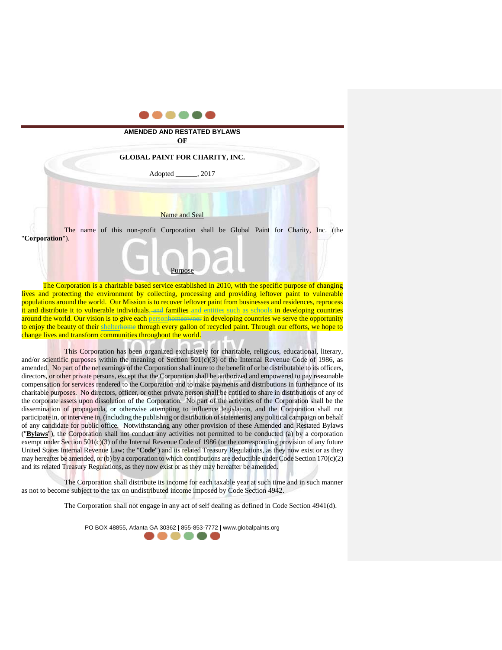

The Corporation is a charitable based service established in 2010, with the specific purpose of changing lives and protecting the environment by collecting, processing and providing leftover paint to vulnerable populations around the world. Our Mission is to recover leftover paint from businesses and residences, reprocess it and distribute it to vulnerable individuals, and families and entities such as schools in developing countries around the world. Our vision is to give each **personhomeowner** in developing countries we serve the opportunity to enjoy the beauty of their shelterhome through every gallon of recycled paint. Through our efforts, we hope to change lives and transform communities throughout the world.

This Corporation has been organized exclusively for charitable, religious, educational, literary, and/or scientific purposes within the meaning of Section  $501(c)(3)$  of the Internal Revenue Code of 1986, as amended. No part of the net earnings of the Corporation shall inure to the benefit of or be distributable to its officers, directors, or other private persons, except that the Corporation shall be authorized and empowered to pay reasonable compensation for services rendered to the Corporation and to make payments and distributions in furtherance of its charitable purposes. No directors, officer, or other private person shall be entitled to share in distributions of any of the corporate assets upon dissolution of the Corporation. No part of the activities of the Corporation shall be the dissemination of propaganda, or otherwise attempting to influence legislation, and the Corporation shall not participate in, or intervene in, (including the publishing or distribution of statements) any political campaign on behalf of any candidate for public office. Notwithstanding any other provision of these Amended and Restated Bylaws ("**Bylaws**"), the Corporation shall not conduct any activities not permitted to be conducted (a) by a corporation exempt under Section  $501(c)(3)$  of the Internal Revenue Code of 1986 (or the corresponding provision of any future United States Internal Revenue Law; the "**Code**") and its related Treasury Regulations, as they now exist or as they may hereafter be amended, or (b) by a corporation to which contributions are deductible under Code Section  $170(c)(2)$ and its related Treasury Regulations, as they now exist or as they may hereafter be amended.

The Corporation shall distribute its income for each taxable year at such time and in such manner as not to become subject to the tax on undistributed income imposed by Code Section 4942.

The Corporation shall not engage in any act of self dealing as defined in Code Section 4941(d).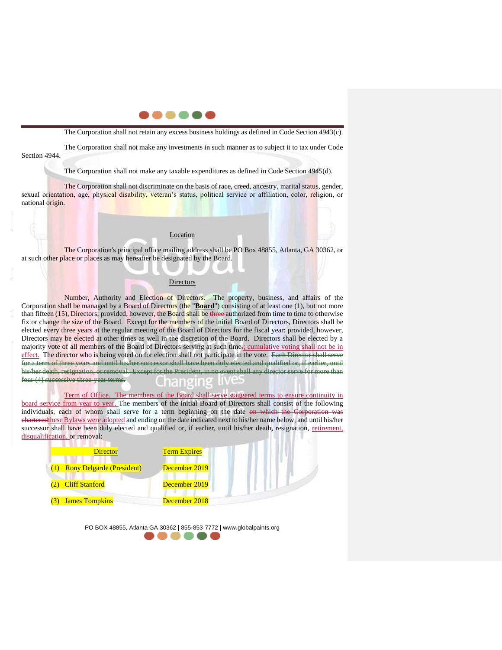

The Corporation shall not retain any excess business holdings as defined in Code Section 4943(c).

The Corporation shall not make any investments in such manner as to subject it to tax under Code Section 4944.

The Corporation shall not make any taxable expenditures as defined in Code Section 4945(d).

The Corporation shall not discriminate on the basis of race, creed, ancestry, marital status, gender, sexual orientation, age, physical disability, veteran's status, political service or affiliation, color, religion, or national origin.

### Location

The Corporation's principal office mailing address shall be PO Box 48855, Atlanta, GA 30362, or at such other place or places as may hereafter be designated by the Board.

### **Directors**

Number, Authority and Election of Directors. The property, business, and affairs of the Corporation shall be managed by a Board of Directors (the "Board") consisting of at least one (1), but not more than fifteen (15), Directors; provided, however, the Board shall be three authorized from time to time to otherwise fix or change the size of the Board. Except for the members of the initial Board of Directors, Directors shall be elected every three years at the regular meeting of the Board of Directors for the fiscal year; provided, however, Directors may be elected at other times as well in the discretion of the Board. Directors shall be elected by a majority vote of all members of the Board of Directors serving at such time.; cumulative voting shall not be in effect. The director who is being voted on for election shall not participate in the vote. Each Director shall serve of three years and until his/her successor shall have been duly elected and qualified or, if earlier, his/her death, resignation, or removal. Except for the President, in no event shall any director serve for more than four (4) successive three-year terms.

Term of Office. The members of the Board shall serve staggered terms to ensure continuity in board service from year to year. The members of the initial Board of Directors shall consist of the following individuals, each of whom shall serve for a term beginning on the date on which the Corporation was chartered these Bylaws were adopted and ending on the date indicated next to his/her name below, and until his/her successor shall have been duly elected and qualified or, if earlier, until his/her death, resignation, retirement, disqualification, or removal:

| <b>Director</b>                  | <b>Term Expires</b> |
|----------------------------------|---------------------|
| <b>Rony Delgarde (President)</b> | December 2019       |
| (2) Cliff Stanford               | December 2019       |
| <b>James Tompkins</b>            | December 2018       |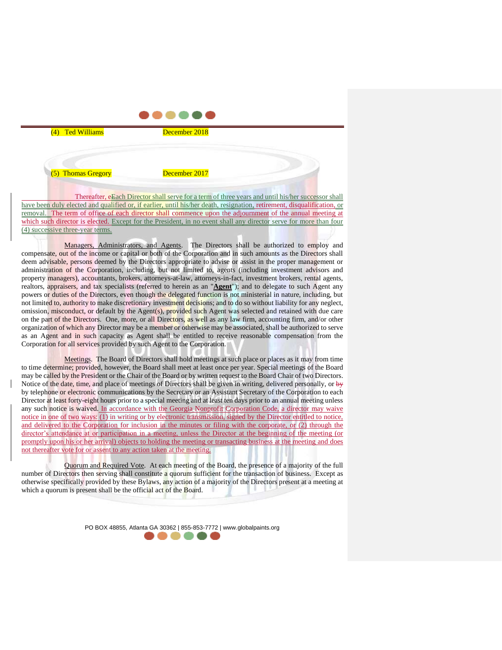| (4) Ted Williams   | December 2018 |  |
|--------------------|---------------|--|
| (5) Thomas Gregory | December 2017 |  |

. . . . . .

Thereafter, eEach Director shall serve for a term of three years and until his/her successor shall have been duly elected and qualified or, if earlier, until his/her death, resignation, retirement, disqualification, or removal. The term of office of each director shall commence upon the adjournment of the annual meeting at which such director is elected. Except for the President, in no event shall any director serve for more than four (4) successive three-year terms.

Managers, Administrators, and Agents. The Directors shall be authorized to employ and compensate, out of the income or capital or both of the Corporation and in such amounts as the Directors shall deem advisable, persons deemed by the Directors appropriate to advise or assist in the proper management or administration of the Corporation, including, but not limited to, agents (including investment advisors and property managers), accountants, brokers, attorneys-at-law, attorneys-in-fact, investment brokers, rental agents, realtors, appraisers, and tax specialists (referred to herein as an "**Agent**"); and to delegate to such Agent any powers or duties of the Directors, even though the delegated function is not ministerial in nature, including, but not limited to, authority to make discretionary investment decisions; and to do so without liability for any neglect, omission, misconduct, or default by the Agent(s), provided such Agent was selected and retained with due care on the part of the Directors. One, more, or all Directors, as well as any law firm, accounting firm, and/or other organization of which any Director may be a member or otherwise may be associated, shall be authorized to serve as an Agent and in such capacity as Agent shall be entitled to receive reasonable compensation from the Corporation for all services provided by such Agent to the Corporation.

Meetings. The Board of Directors shall hold meetings at such place or places as it may from time to time determine; provided, however, the Board shall meet at least once per year. Special meetings of the Board may be called by the President or the Chair of the Board or by written request to the Board Chair of two Directors. Notice of the date, time, and place of meetings of Directors shall be given in writing, delivered personally, or by by telephone or electronic communications by the Secretary or an Assistant Secretary of the Corporation to each Director at least forty-eight hours prior to a special meeting and at least ten days prior to an annual meeting unless any such notice is waived. In accordance with the Georgia Nonprofit Corporation Code, a director may waive notice in one of two ways: (1) in writing or by electronic transmission, signed by the Director entitled to notice, and delivered to the Corporation for inclusion in the minutes or filing with the corporate, or (2) through the director's attendance at or participation in a meeting, unless the Director at the beginning of the meeting (or promptly upon his or her arrival) objects to holding the meeting or transacting business at the meeting and does not thereafter vote for or assent to any action taken at the meeting.

Quorum and Required Vote. At each meeting of the Board, the presence of a majority of the full number of Directors then serving shall constitute a quorum sufficient for the transaction of business. Except as otherwise specifically provided by these Bylaws, any action of a majority of the Directors present at a meeting at which a quorum is present shall be the official act of the Board.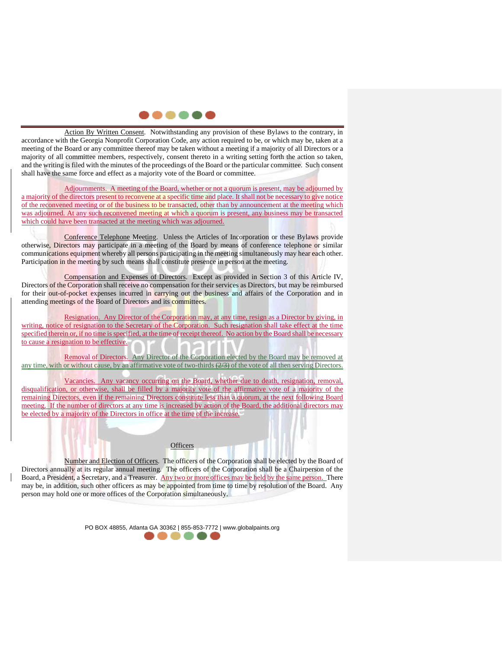## . . . . .

Action By Written Consent. Notwithstanding any provision of these Bylaws to the contrary, in accordance with the Georgia Nonprofit Corporation Code, any action required to be, or which may be, taken at a meeting of the Board or any committee thereof may be taken without a meeting if a majority of all Directors or a majority of all committee members, respectively, consent thereto in a writing setting forth the action so taken, and the writing is filed with the minutes of the proceedings of the Board or the particular committee. Such consent shall have the same force and effect as a majority vote of the Board or committee.

Adjournments. A meeting of the Board, whether or not a quorum is present, may be adjourned by a majority of the directors present to reconvene at a specific time and place. It shall not be necessary to give notice of the reconvened meeting or of the business to be transacted, other than by announcement at the meeting which was adjourned. At any such reconvened meeting at which a quorum is present, any business may be transacted which could have been transacted at the meeting which was adjourned.

Conference Telephone Meeting. Unless the Articles of Incorporation or these Bylaws provide otherwise, Directors may participate in a meeting of the Board by means of conference telephone or similar communications equipment whereby all persons participating in the meeting simultaneously may hear each other. Participation in the meeting by such means shall constitute presence in person at the meeting.

Compensation and Expenses of Directors. Except as provided in Section 3 of this Article IV, Directors of the Corporation shall receive no compensation for their services as Directors, but may be reimbursed for their out-of-pocket expenses incurred in carrying out the business and affairs of the Corporation and in attending meetings of the Board of Directors and its committees.

Resignation. Any Director of the Corporation may, at any time, resign as a Director by giving, in writing, notice of resignation to the Secretary of the Corporation. Such resignation shall take effect at the time specified therein or, if no time is specified, at the time of receipt thereof. No action by the Board shall be necessary to cause a resignation to be effective.

Removal of Directors. Any Director of the Corporation elected by the Board may be removed at any time, with or without cause, by an affirmative vote of two-thirds (2/3) of the vote of all then serving Directors.

Vacancies. Any vacancy occurring on the Board, whether due to death, resignation, removal, disqualification, or otherwise, shall be filled by a majority vote of the affirmative vote of a majority of the remaining Directors, even if the remaining Directors constitute less than a quorum, at the next following Board meeting. If the number of directors at any time is increased by action of the Board, the additional directors may be elected by a majority of the Directors in office at the time of the increase.

# **Officers**

Number and Election of Officers. The officers of the Corporation shall be elected by the Board of Directors annually at its regular annual meeting. The officers of the Corporation shall be a Chairperson of the Board, a President, a Secretary, and a Treasurer. Any two or more offices may be held by the same person. There may be, in addition, such other officers as may be appointed from time to time by resolution of the Board. Any person may hold one or more offices of the Corporation simultaneously.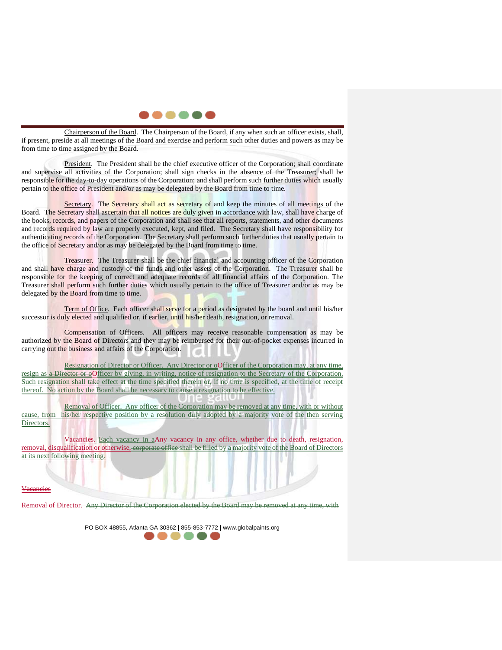

Chairperson of the Board. The Chairperson of the Board, if any when such an officer exists, shall, if present, preside at all meetings of the Board and exercise and perform such other duties and powers as may be from time to time assigned by the Board.

President. The President shall be the chief executive officer of the Corporation; shall coordinate and supervise all activities of the Corporation; shall sign checks in the absence of the Treasurer; shall be responsible for the day-to-day operations of the Corporation; and shall perform such further duties which usually pertain to the office of President and/or as may be delegated by the Board from time to time.

Secretary. The Secretary shall act as secretary of and keep the minutes of all meetings of the Board. The Secretary shall ascertain that all notices are duly given in accordance with law, shall have charge of the books, records, and papers of the Corporation and shall see that all reports, statements, and other documents and records required by law are properly executed, kept, and filed. The Secretary shall have responsibility for authenticating records of the Corporation. The Secretary shall perform such further duties that usually pertain to the office of Secretary and/or as may be delegated by the Board from time to time.

Treasurer. The Treasurer shall be the chief financial and accounting officer of the Corporation and shall have charge and custody of the funds and other assets of the Corporation. The Treasurer shall be responsible for the keeping of correct and adequate records of all financial affairs of the Corporation. The Treasurer shall perform such further duties which usually pertain to the office of Treasurer and/or as may be delegated by the Board from time to time.

Term of Office. Each officer shall serve for a period as designated by the board and until his/her successor is duly elected and qualified or, if earlier, until his/her death, resignation, or removal.

Compensation of Officers. All officers may receive reasonable compensation as may be authorized by the Board of Directors and they may be reimbursed for their out-of-pocket expenses incurred in carrying out the business and affairs of the Corporation.

Resignation of Director or Officer. Any Director or oOfficer of the Corporation may, at any time, resign as a Director or officer by giving, in writing, notice of resignation to the Secretary of the Corporation. Such resignation shall take effect at the time specified therein or, if no time is specified, at the time of receipt thereof. No action by the Board shall be necessary to cause a resignation to be effective.

Removal of Officer. Any officer of the Corporation may be removed at any time, with or without cause, from his/her respective position by a resolution duly adopted by a majority vote of the then serving Directors.

Vacancies. Each vacancy in aAny vacancy in any office, whether due to death, resignation, removal, disqualification or otherwise, corporate office shall be filled by a majority vote of the Board of Directors at its next following meeting.

Removal of Director

Vacancies

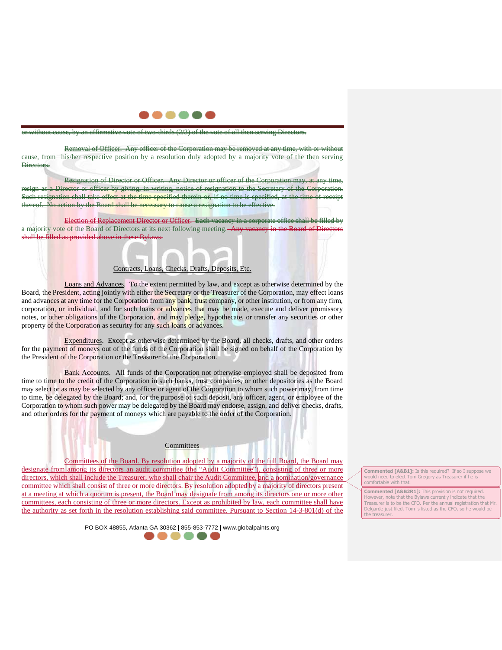

or without cause, by an affirmative vote of two-thirds (2/3) of the vote of all then serving Directors.

Removal of Officer. Any officer of the Corporation may be removed at any time, with or without cause, from his/her respective position by a resolution duly adopted by a majority vote of the then serving Directors.

Resignation of Director or Officer. Any Director or officer of the Corporation may, at any time, resign as a Director or officer by giving, in writing, notice of resignation to the Secretary of the Corporation. offect at the time specified therein No action by the Board shall be necessary to cause a resignation to be effective.

Election of Replacement Director or Officer. Each vacancy in a corporation of the Board of Directors at its next following meeting. Any vacancy in the Board of Directors shall be filled as provided above in these Bylaws.

### Contracts, Loans, Checks, Drafts, Deposits, Etc.

Loans and Advances. To the extent permitted by law, and except as otherwise determined by the Board, the President, acting jointly with either the Secretary or the Treasurer of the Corporation, may effect loans and advances at any time for the Corporation from any bank, trust company, or other institution, or from any firm, corporation, or individual, and for such loans or advances that may be made, execute and deliver promissory notes, or other obligations of the Corporation, and may pledge, hypothecate, or transfer any securities or other property of the Corporation as security for any such loans or advances.

Expenditures. Except as otherwise determined by the Board, all checks, drafts, and other orders for the payment of moneys out of the funds of the Corporation shall be signed on behalf of the Corporation by the President of the Corporation or the Treasurer of the Corporation.

Bank Accounts. All funds of the Corporation not otherwise employed shall be deposited from time to time to the credit of the Corporation in such banks, trust companies, or other depositories as the Board may select or as may be selected by any officer or agent of the Corporation to whom such power may, from time to time, be delegated by the Board; and, for the purpose of such deposit, any officer, agent, or employee of the Corporation to whom such power may be delegated by the Board may endorse, assign, and deliver checks, drafts, and other orders for the payment of moneys which are payable to the order of the Corporation.

Committees of the Board. By resolution adopted by a majority of the full Board, the Board may designate from among its directors an audit committee (the "Audit Committee"), consisting of three or more directors, which shall include the Treasurer, who shall chair the Audit Committee, and a nomination/governance committee which shall consist of three or more directors. By resolution adopted by a majority of directors present at a meeting at which a quorum is present, the Board may designate from among its directors one or more other committees, each consisting of three or more directors. Except as prohibited by law, each committee shall have the authority as set forth in the resolution establishing said committee. Pursuant to Section 14-3-801(d) of the

**Committees** 

PO BOX 48855, Atlanta GA 30362 | 855-853-7772 | www.globalpaints.org

**Commented [A&B1]:** Is this required? If so I suppose we would need to elect Tom Gregory as Treasurer if he is comfortable with that.

**Commented [A&B2R1]:** This provision is not required. However, note that the Bylaws currently indicate that the Treasurer is to be the CFO. Per the annual registration that Mr. Delgarde just filed, Tom is listed as the CFO, so he would be the treasurer.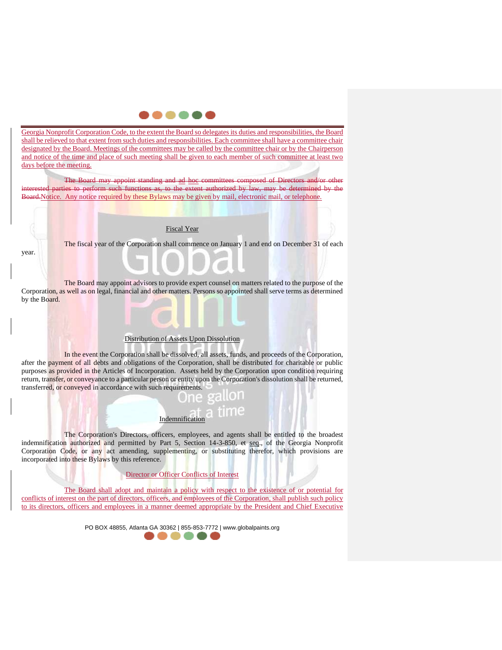

Georgia Nonprofit Corporation Code, to the extent the Board so delegates its duties and responsibilities, the Board shall be relieved to that extent from such duties and responsibilities. Each committee shall have a committee chair designated by the Board. Meetings of the committees may be called by the committee chair or by the Chairperson and notice of the time and place of such meeting shall be given to each member of such committee at least two days before the meeting.

The Board may appoint standing and ad hoc committees composed of Directors and/or other parties to perform such functions as, to the extent authorized by law, may be determined by the Board. Notice. Any notice required by these Bylaws may be given by mail, electronic mail, or telephone.

#### Fiscal Year

year.

The fiscal year of the Corporation shall commence on January 1 and end on December 31 of each

The Board may appoint advisors to provide expert counsel on matters related to the purpose of the Corporation, as well as on legal, financial and other matters. Persons so appointed shall serve terms as determined by the Board.

#### Distribution of Assets Upon Dissolution

In the event the Corporation shall be dissolved, all assets, funds, and proceeds of the Corporation, after the payment of all debts and obligations of the Corporation, shall be distributed for charitable or public purposes as provided in the Articles of Incorporation. Assets held by the Corporation upon condition requiring return, transfer, or conveyance to a particular person or entity upon the Corporation's dissolution shall be returned, transferred, or conveyed in accordance with such requirements.



The Corporation's Directors, officers, employees, and agents shall be entitled to the broadest indemnification authorized and permitted by Part 5, Section 14-3-850, et seq., of the Georgia Nonprofit Corporation Code, or any act amending, supplementing, or substituting therefor, which provisions are incorporated into these Bylaws by this reference.

Director or Officer Conflicts of Interest

The Board shall adopt and maintain a policy with respect to the existence of or potential for conflicts of interest on the part of directors, officers, and employees of the Corporation, shall publish such policy to its directors, officers and employees in a manner deemed appropriate by the President and Chief Executive